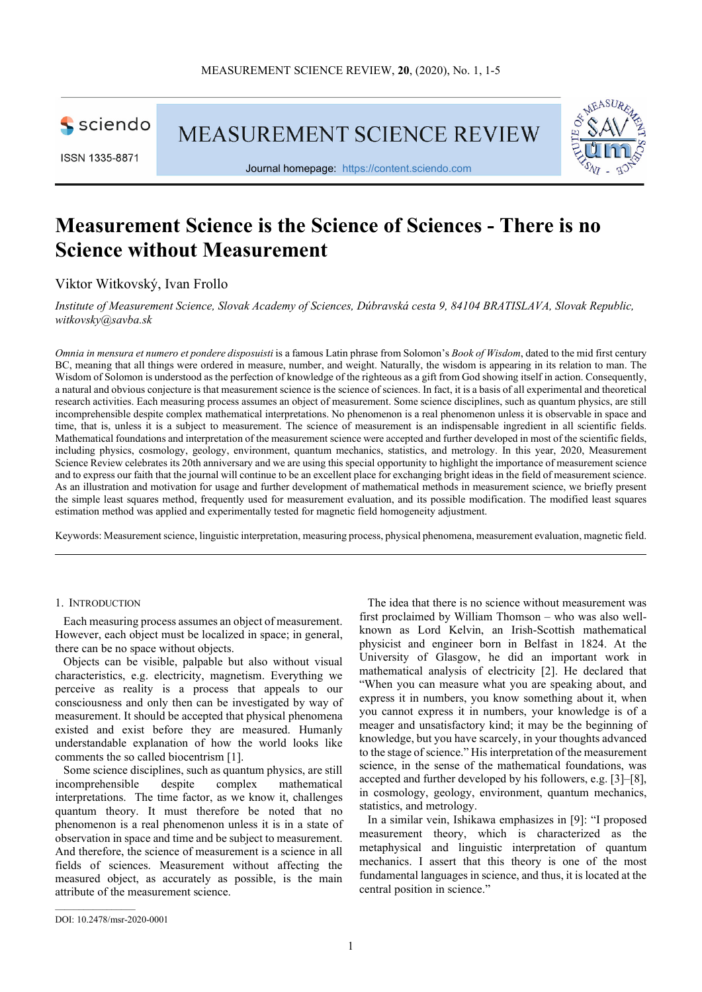sciendo

ISSN 1335-8871

**MEASUREMENT SCIENCE REVIEW** 



Journal homepage: https://content.sciendo.com

# **Measurement Science is the Science of Sciences - There is no Science without Measurement**

## Viktor Witkovský, Ivan Frollo

*Institute of Measurement Science, Slovak Academy of Sciences, Dúbravská cesta 9, 84104 BRATISLAVA, Slovak Republic, witkovsky@savba.sk* 

*Omnia in mensura et numero et pondere disposuisti* is a famous Latin phrase from Solomon's *Book of Wisdom*, dated to the mid first century BC, meaning that all things were ordered in measure, number, and weight. Naturally, the wisdom is appearing in its relation to man. The Wisdom of Solomon is understood as the perfection of knowledge of the righteous as a gift from God showing itself in action. Consequently, a natural and obvious conjecture is that measurement science is the science of sciences. In fact, it is a basis of all experimental and theoretical research activities. Each measuring process assumes an object of measurement. Some science disciplines, such as quantum physics, are still incomprehensible despite complex mathematical interpretations. No phenomenon is a real phenomenon unless it is observable in space and time, that is, unless it is a subject to measurement. The science of measurement is an indispensable ingredient in all scientific fields. Mathematical foundations and interpretation of the measurement science were accepted and further developed in most of the scientific fields, including physics, cosmology, geology, environment, quantum mechanics, statistics, and metrology. In this year, 2020, Measurement Science Review celebrates its 20th anniversary and we are using this special opportunity to highlight the importance of measurement science and to express our faith that the journal will continue to be an excellent place for exchanging bright ideas in the field of measurement science. As an illustration and motivation for usage and further development of mathematical methods in measurement science, we briefly present the simple least squares method, frequently used for measurement evaluation, and its possible modification. The modified least squares estimation method was applied and experimentally tested for magnetic field homogeneity adjustment.

Keywords: Measurement science, linguistic interpretation, measuring process, physical phenomena, measurement evaluation, magnetic field.

## 1. INTRODUCTION

Each measuring process assumes an object of measurement. However, each object must be localized in space; in general, there can be no space without objects.

Objects can be visible, palpable but also without visual characteristics, e.g. electricity, magnetism. Everything we perceive as reality is a process that appeals to our consciousness and only then can be investigated by way of measurement. It should be accepted that physical phenomena existed and exist before they are measured. Humanly understandable explanation of how the world looks like comments the so called biocentrism [1].

Some science disciplines, such as quantum physics, are still incomprehensible despite complex mathematical interpretations. The time factor, as we know it, challenges quantum theory. It must therefore be noted that no phenomenon is a real phenomenon unless it is in a state of observation in space and time and be subject to measurement. And therefore, the science of measurement is a science in all fields of sciences. Measurement without affecting the measured object, as accurately as possible, is the main attribute of the measurement science.

The idea that there is no science without measurement was first proclaimed by William Thomson – who was also wellknown as Lord Kelvin, an Irish-Scottish mathematical physicist and engineer born in Belfast in 1824. At the University of Glasgow, he did an important work in mathematical analysis of electricity [2]. He declared that "When you can measure what you are speaking about, and express it in numbers, you know something about it, when you cannot express it in numbers, your knowledge is of a meager and unsatisfactory kind; it may be the beginning of knowledge, but you have scarcely, in your thoughts advanced to the stage of science." His interpretation of the measurement science, in the sense of the mathematical foundations, was accepted and further developed by his followers, e.g. [3]–[8], in cosmology, geology, environment, quantum mechanics, statistics, and metrology.

In a similar vein, Ishikawa emphasizes in [9]: "I proposed measurement theory, which is characterized as the metaphysical and linguistic interpretation of quantum mechanics. I assert that this theory is one of the most fundamental languages in science, and thus, it is located at the central position in science."

DOI: 10.2478/msr-2020-0001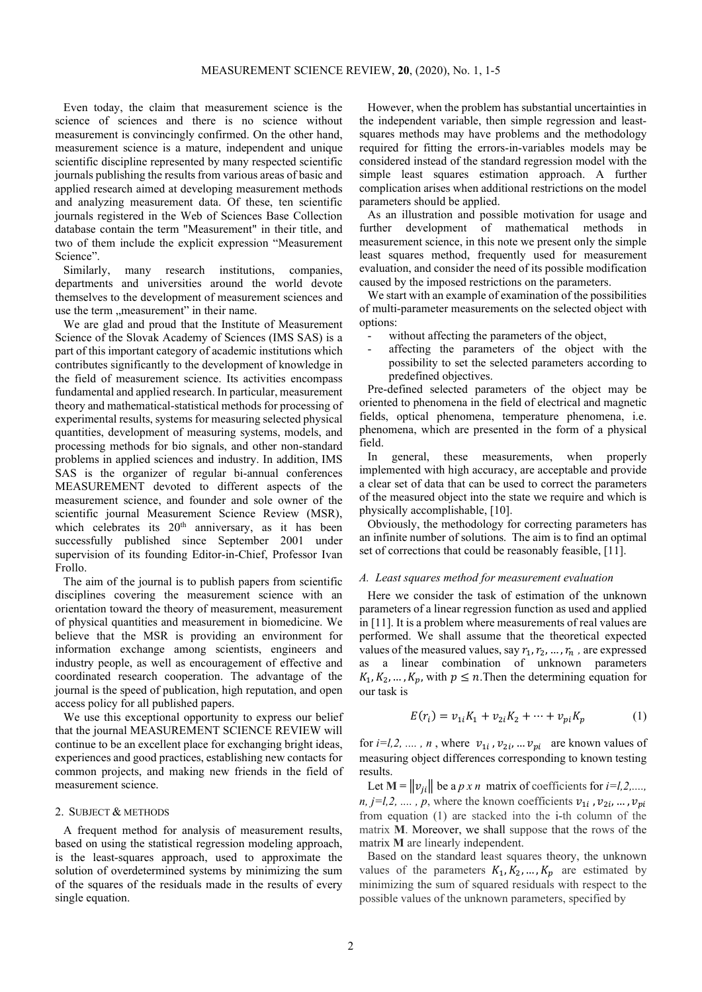Even today, the claim that measurement science is the science of sciences and there is no science without measurement is convincingly confirmed. On the other hand, measurement science is a mature, independent and unique scientific discipline represented by many respected scientific journals publishing the results from various areas of basic and applied research aimed at developing measurement methods and analyzing measurement data. Of these, ten scientific journals registered in the Web of Sciences Base Collection database contain the term "Measurement" in their title, and two of them include the explicit expression "Measurement Science".

Similarly, many research institutions, companies, departments and universities around the world devote themselves to the development of measurement sciences and use the term "measurement" in their name.

We are glad and proud that the Institute of Measurement Science of the Slovak Academy of Sciences (IMS SAS) is a part of this important category of academic institutions which contributes significantly to the development of knowledge in the field of measurement science. Its activities encompass fundamental and applied research. In particular, measurement theory and mathematical-statistical methods for processing of experimental results, systems for measuring selected physical quantities, development of measuring systems, models, and processing methods for bio signals, and other non-standard problems in applied sciences and industry. In addition, IMS SAS is the organizer of regular bi-annual conferences MEASUREMENT devoted to different aspects of the measurement science, and founder and sole owner of the scientific journal Measurement Science Review (MSR), which celebrates its  $20<sup>th</sup>$  anniversary, as it has been successfully published since September 2001 under supervision of its founding Editor-in-Chief, Professor Ivan Frollo.

The aim of the journal is to publish papers from scientific disciplines covering the measurement science with an orientation toward the theory of measurement, measurement of physical quantities and measurement in biomedicine. We believe that the MSR is providing an environment for information exchange among scientists, engineers and industry people, as well as encouragement of effective and coordinated research cooperation. The advantage of the journal is the speed of publication, high reputation, and open access policy for all published papers.

We use this exceptional opportunity to express our belief that the journal MEASUREMENT SCIENCE REVIEW will continue to be an excellent place for exchanging bright ideas, experiences and good practices, establishing new contacts for common projects, and making new friends in the field of measurement science.

#### 2. SUBJECT & METHODS

A frequent method for analysis of measurement results, based on using the statistical regression modeling approach, is the least-squares approach, used to approximate the solution of overdetermined systems by minimizing the sum of the squares of the residuals made in the results of every single equation.

However, when the problem has substantial uncertainties in the independent variable, then simple regression and leastsquares methods may have problems and the methodology required for fitting the errors-in-variables models may be considered instead of the standard regression model with the simple least squares estimation approach. A further complication arises when additional restrictions on the model parameters should be applied.

As an illustration and possible motivation for usage and further development of mathematical methods in measurement science, in this note we present only the simple least squares method, frequently used for measurement evaluation, and consider the need of its possible modification caused by the imposed restrictions on the parameters.

We start with an example of examination of the possibilities of multi-parameter measurements on the selected object with options:

- without affecting the parameters of the object,
- affecting the parameters of the object with the possibility to set the selected parameters according to predefined objectives.

Pre-defined selected parameters of the object may be oriented to phenomena in the field of electrical and magnetic fields, optical phenomena, temperature phenomena, i.e. phenomena, which are presented in the form of a physical field.

In general, these measurements, when properly implemented with high accuracy, are acceptable and provide a clear set of data that can be used to correct the parameters of the measured object into the state we require and which is physically accomplishable, [10].

Obviously, the methodology for correcting parameters has an infinite number of solutions. The aim is to find an optimal set of corrections that could be reasonably feasible, [11].

### *A. Least squares method for measurement evaluation*

Here we consider the task of estimation of the unknown parameters of a linear regression function as used and applied in [11]. It is a problem where measurements of real values are performed. We shall assume that the theoretical expected values of the measured values, say  $r_1, r_2, \ldots, r_n$  , are expressed as a linear combination of unknown parameters  $K_1, K_2, \ldots, K_p$ , with  $p \leq n$ . Then the determining equation for our task is

$$
E(r_i) = v_{1i}K_1 + v_{2i}K_2 + \dots + v_{pi}K_p \tag{1}
$$

for *i*=*l*,2, ..., *n*, where  $v_{1i}$ ,  $v_{2i}$ , ...  $v_{pi}$  are known values of measuring object differences corresponding to known testing results.

Let  $\mathbf{M} = ||v_{ii}||$  be a *p x n* matrix of coefficients for *i*=*l*,2,...., *n, j=l,2, ...., p,* where the known coefficients  $v_{1i}$ ,  $v_{2i}$ , ...,  $v_{pi}$ from equation (1) are stacked into the i-th column of the matrix **M**. Moreover, we shall suppose that the rows of the matrix **M** are linearly independent.

Based on the standard least squares theory, the unknown values of the parameters  $K_1, K_2, ..., K_p$  are estimated by minimizing the sum of squared residuals with respect to the possible values of the unknown parameters, specified by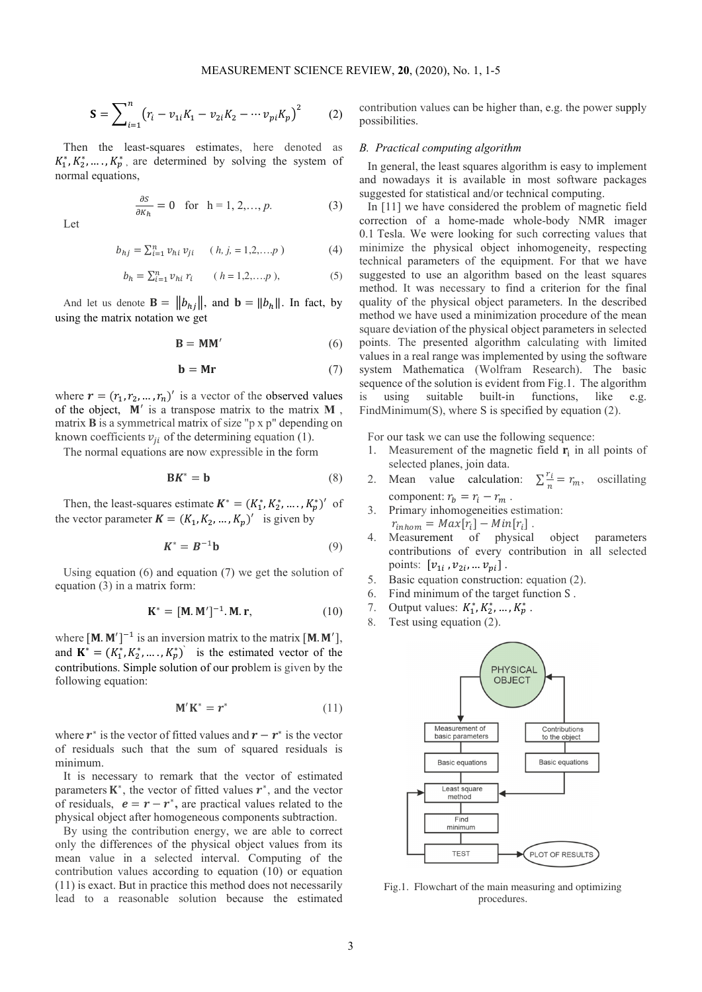$$
\mathbf{S} = \sum_{i=1}^{n} (r_i - v_{1i}K_1 - v_{2i}K_2 - \cdots v_{pi}K_p)^2
$$
 (2)

Then the least-squares estimates, here denoted as  $K_1^*, K_2^*, \dots, K_p^*$ , are determined by solving the system of normal equations,

$$
\frac{\partial S}{\partial K_h} = 0 \quad \text{for} \quad h = 1, 2, \dots, p. \tag{3}
$$

Let

$$
b_{hj} = \sum_{i=1}^{n} v_{hi} v_{ji} \quad (h, j, = 1, 2, \dots, p)
$$
 (4)

$$
b_h = \sum_{i=1}^n v_{hi} \, r_i \qquad (h = 1, 2, \dots, p), \tag{5}
$$

And let us denote  $\mathbf{B} = ||b_{hj}||$ , and  $\mathbf{b} = ||b_h||$ . In fact, by using the matrix notation we get

$$
\mathbf{B} = \mathbf{M}\mathbf{M}' \tag{6}
$$

$$
\mathbf{b} = \mathbf{Mr} \tag{7}
$$

where  $\mathbf{r} = (r_1, r_2, ..., r_n)'$  is a vector of the observed values of the object,  $M'$  is a transpose matrix to the matrix  $M$ , matrix **B** is a symmetrical matrix of size "p x p" depending on known coefficients  $v_{ii}$  of the determining equation (1).

The normal equations are now expressible in the form

$$
\mathbf{B} \mathbf{K}^* = \mathbf{b} \tag{8}
$$

Then, the least-squares estimate  $K^* = (K_1^*, K_2^*, \dots, K_p^*)'$  of the vector parameter  $K = (K_1, K_2, ..., K_p)'$  is given by

$$
\mathbf{K}^* = \mathbf{B}^{-1} \mathbf{b} \tag{9}
$$

Using equation (6) and equation (7) we get the solution of equation (3) in a matrix form:

$$
\mathbf{K}^* = [\mathbf{M}.\mathbf{M}']^{-1}.\mathbf{M}.\mathbf{r},\tag{10}
$$

where  $[M, M']^{-1}$  is an inversion matrix to the matrix  $[M, M'],$ and  $\mathbf{K}^* = (K_1^*, K_2^*, \dots, K_p^*)$  is the estimated vector of the contributions. Simple solution of our problem is given by the following equation:

$$
\mathbf{M}'\mathbf{K}^* = r^* \tag{11}
$$

where  $r^*$  is the vector of fitted values and  $r - r^*$  is the vector of residuals such that the sum of squared residuals is minimum.

It is necessary to remark that the vector of estimated parameters  $K^*$ , the vector of fitted values  $r^*$ , and the vector of residuals,  $e = r - r^*$ , are practical values related to the physical object after homogeneous components subtraction.

By using the contribution energy, we are able to correct only the differences of the physical object values from its mean value in a selected interval. Computing of the contribution values according to equation (10) or equation (11) is exact. But in practice this method does not necessarily lead to a reasonable solution because the estimated contribution values can be higher than, e.g. the power supply possibilities.

## *B. Practical computing algorithm*

In general, the least squares algorithm is easy to implement and nowadays it is available in most software packages suggested for statistical and/or technical computing.

In [11] we have considered the problem of magnetic field correction of a home-made whole-body NMR imager 0.1 Tesla. We were looking for such correcting values that minimize the physical object inhomogeneity, respecting technical parameters of the equipment. For that we have suggested to use an algorithm based on the least squares method. It was necessary to find a criterion for the final quality of the physical object parameters. In the described method we have used a minimization procedure of the mean square deviation of the physical object parameters in selected points. The presented algorithm calculating with limited values in a real range was implemented by using the software system Mathematica (Wolfram Research). The basic sequence of the solution is evident from Fig.1. The algorithm is using suitable built-in functions, like e.g. FindMinimum(S), where S is specified by equation (2).

For our task we can use the following sequence:

- 1. Measurement of the magnetic field  $\mathbf{r}_i$  in all points of selected planes, join data.
- 2. Mean value calculation:  $\sum_{n=1}^{\infty} \frac{r_i}{n}$  $\frac{r_i}{n} = r_m$ , oscillating component:  $r_b = r_i - r_m$ .
- 3. Primary inhomogeneities estimation:  $r_{inhom} = Max[r_i] - Min[r_i]$ .
- 4. Measurement of physical object parameters contributions of every contribution in all selected points:  $[v_{1i}, v_{2i}, ... v_{pi}]$ .
- 5. Basic equation construction: equation (2).
- 6. Find minimum of the target function S .
- 7. Output values:  $K_1^*, K_2^*, ..., K_p^*$ .
- 8. Test using equation (2).



Fig.1. Flowchart of the main measuring and optimizing procedures.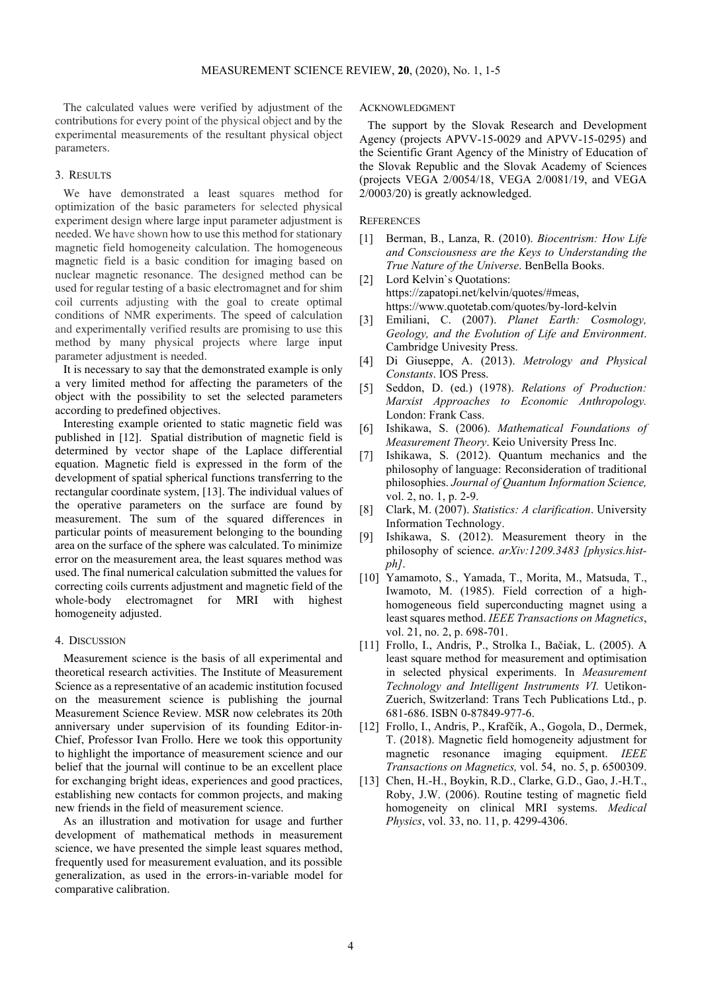The calculated values were verified by adjustment of the contributions for every point of the physical object and by the experimental measurements of the resultant physical object parameters.

## 3. RESULTS

We have demonstrated a least squares method for optimization of the basic parameters for selected physical experiment design where large input parameter adjustment is needed. We have shown how to use this method for stationary magnetic field homogeneity calculation. The homogeneous magnetic field is a basic condition for imaging based on nuclear magnetic resonance. The designed method can be used for regular testing of a basic electromagnet and for shim coil currents adjusting with the goal to create optimal conditions of NMR experiments. The speed of calculation and experimentally verified results are promising to use this method by many physical projects where large input parameter adjustment is needed.

It is necessary to say that the demonstrated example is only a very limited method for affecting the parameters of the object with the possibility to set the selected parameters according to predefined objectives.

Interesting example oriented to static magnetic field was published in [12]. Spatial distribution of magnetic field is determined by vector shape of the Laplace differential equation. Magnetic field is expressed in the form of the development of spatial spherical functions transferring to the rectangular coordinate system, [13]. The individual values of the operative parameters on the surface are found by measurement. The sum of the squared differences in particular points of measurement belonging to the bounding area on the surface of the sphere was calculated. To minimize error on the measurement area, the least squares method was used. The final numerical calculation submitted the values for correcting coils currents adjustment and magnetic field of the whole-body electromagnet for MRI with highest homogeneity adjusted.

## 4. DISCUSSION

Measurement science is the basis of all experimental and theoretical research activities. The Institute of Measurement Science as a representative of an academic institution focused on the measurement science is publishing the journal Measurement Science Review. MSR now celebrates its 20th anniversary under supervision of its founding Editor-in-Chief, Professor Ivan Frollo. Here we took this opportunity to highlight the importance of measurement science and our belief that the journal will continue to be an excellent place for exchanging bright ideas, experiences and good practices, establishing new contacts for common projects, and making new friends in the field of measurement science.

As an illustration and motivation for usage and further development of mathematical methods in measurement science, we have presented the simple least squares method, frequently used for measurement evaluation, and its possible generalization, as used in the errors-in-variable model for comparative calibration.

#### ACKNOWLEDGMENT

The support by the Slovak Research and Development Agency (projects APVV-15-0029 and APVV-15-0295) and the Scientific Grant Agency of the Ministry of Education of the Slovak Republic and the Slovak Academy of Sciences (projects VEGA 2/0054/18, VEGA 2/0081/19, and VEGA 2/0003/20) is greatly acknowledged.

#### **REFERENCES**

- [1] Berman, B., Lanza, R. (2010). *Biocentrism: How Life and Consciousness are the Keys to Understanding the True Nature of the Universe*. BenBella Books.
- [2] Lord Kelvin's Quotations: https://zapatopi.net/kelvin/quotes/#meas, https://www.quotetab.com/quotes/by-lord-kelvin
- [3] Emiliani, C. (2007). *Planet Earth: Cosmology, Geology, and the Evolution of Life and Environment*. Cambridge Univesity Press.
- [4] Di Giuseppe, A. (2013). *Metrology and Physical Constants*. IOS Press.
- [5] Seddon, D. (ed.) (1978). *Relations of Production: Marxist Approaches to Economic Anthropology.* London: Frank Cass.
- [6] Ishikawa, S. (2006). *Mathematical Foundations of Measurement Theory*. Keio University Press Inc.
- [7] Ishikawa, S. (2012). Quantum mechanics and the philosophy of language: Reconsideration of traditional philosophies. *Journal of Quantum Information Science,* vol. 2, no. 1, p. 2-9.
- [8] Clark, M. (2007). *Statistics: A clarification*. University Information Technology.
- [9] Ishikawa, S. (2012). Measurement theory in the philosophy of science. *arXiv:1209.3483 [physics.histph]*.
- [10] Yamamoto, S., Yamada, T., Morita, M., Matsuda, T., Iwamoto, M. (1985). Field correction of a highhomogeneous field superconducting magnet using a least squares method. *IEEE Transactions on Magnetics*, vol. 21, no. 2, p. 698-701.
- [11] Frollo, I., Andris, P., Strolka I., Bačiak, L. (2005). A least square method for measurement and optimisation in selected physical experiments. In *Measurement Technology and Intelligent Instruments VI.* Uetikon-Zuerich, Switzerland: Trans Tech Publications Ltd., p. 681-686. ISBN 0-87849-977-6.
- [12] Frollo, I., Andris, P., Krafčík, A., Gogola, D., Dermek, T. (2018). Magnetic field homogeneity adjustment for magnetic resonance imaging equipment. *IEEE Transactions on Magnetics,* vol. 54, no. 5, p. 6500309.
- [13] Chen, H.-H., Boykin, R.D., Clarke, G.D., Gao, J.-H.T., Roby, J.W. (2006). Routine testing of magnetic field homogeneity on clinical MRI systems. *Medical Physics*, vol. 33, no. 11, p. 4299-4306.